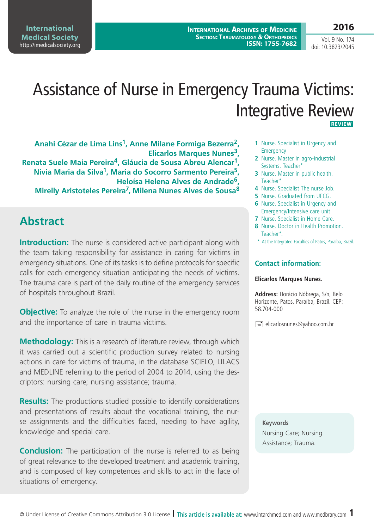**International Archives of Medicine SECTION: TRAUMATOLOGY & ORTHOPEDICS ISSN: 1755-7682**

Vol. 9 No. 174 doi: 10.3823/2045

**2016**

# Assistance of Nurse in Emergency Trauma Victims: Integrative Review  **REVIEW**

**Anahi Cézar de Lima Lins1, Anne Milane Formiga Bezerra2, Elicarlos Marques Nunes3,** 

**Renata Suele Maia Pereira4, Gláucia de Sousa Abreu Alencar1, Nívia Maria da Silva1, Maria do Socorro Sarmento Pereira5, Heloísa Helena Alves de Andrade6,** 

**Mirelly Aristoteles Pereira7, Milena Nunes Alves de Sousa8**

## **Abstract**

**Introduction:** The nurse is considered active participant along with the team taking responsibility for assistance in caring for victims in emergency situations. One of its tasks is to define protocols for specific calls for each emergency situation anticipating the needs of victims. The trauma care is part of the daily routine of the emergency services of hospitals throughout Brazil.

**Objective:** To analyze the role of the nurse in the emergency room and the importance of care in trauma victims.

**Methodology:** This is a research of literature review, through which it was carried out a scientific production survey related to nursing actions in care for victims of trauma, in the database SCIELO, LILACS and MEDLINE referring to the period of 2004 to 2014, using the descriptors: nursing care; nursing assistance; trauma.

**Results:** The productions studied possible to identify considerations and presentations of results about the vocational training, the nurse assignments and the difficulties faced, needing to have agility, knowledge and special care.

**Conclusion:** The participation of the nurse is referred to as being of great relevance to the developed treatment and academic training, and is composed of key competences and skills to act in the face of situations of emergency.

- **1** Nurse. Specialist in Urgency and **Emergency**
- **2** Nurse. Master in agro-industrial Systems. Teacher\*
- **3** Nurse. Master in public health. Teacher\*
- **4** Nurse. Specialist The nurse Job.
- **5** Nurse. Graduated from UFCG.
- **6** Nurse. Specialist in Urgency and Emergency/Intensive care unit
- **7** Nurse. Specialist in Home Care.
- **8** Nurse. Doctor in Health Promotion. Teacher\*.
- \*: At the Integrated Faculties of Patos, Paraíba, Brazil.

### **Contact information:**

### **Elicarlos Marques Nunes.**

**Address:** Horácio Nóbrega, S/n, Belo Horizonte, Patos, Paraíba, Brazil. CEP: 58.704-000

 $\equiv$  elicarlosnunes@yahoo.com.br

**Keywords** Nursing Care; Nursing Assistance; Trauma.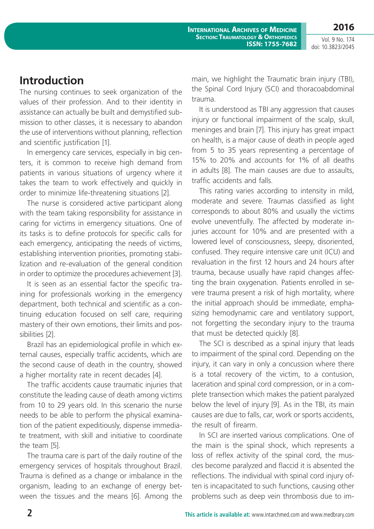Vol. 9 No. 174 doi: 10.3823/2045

**2016**

## **Introduction**

The nursing continues to seek organization of the values of their profession. And to their identity in assistance can actually be built and demystified submission to other classes, it is necessary to abandon the use of interventions without planning, reflection and scientific justification [1].

In emergency care services, especially in big centers, it is common to receive high demand from patients in various situations of urgency where it takes the team to work effectively and quickly in order to minimize life-threatening situations [2].

The nurse is considered active participant along with the team taking responsibility for assistance in caring for victims in emergency situations. One of its tasks is to define protocols for specific calls for each emergency, anticipating the needs of victims, establishing intervention priorities, promoting stabilization and re-evaluation of the general condition in order to optimize the procedures achievement [3].

It is seen as an essential factor the specific training for professionals working in the emergency department, both technical and scientific as a continuing education focused on self care, requiring mastery of their own emotions, their limits and possibilities [2].

Brazil has an epidemiological profile in which external causes, especially traffic accidents, which are the second cause of death in the country, showed a higher mortality rate in recent decades [4].

The traffic accidents cause traumatic injuries that constitute the leading cause of death among victims from 10 to 29 years old. In this scenario the nurse needs to be able to perform the physical examination of the patient expeditiously, dispense immediate treatment, with skill and initiative to coordinate the team [5].

The trauma care is part of the daily routine of the emergency services of hospitals throughout Brazil. Trauma is defined as a change or imbalance in the organism, leading to an exchange of energy between the tissues and the means [6]. Among the main, we highlight the Traumatic brain injury (TBI), the Spinal Cord Injury (SCI) and thoracoabdominal trauma.

It is understood as TBI any aggression that causes injury or functional impairment of the scalp, skull, meninges and brain [7]. This injury has great impact on health, is a major cause of death in people aged from 5 to 35 years representing a percentage of 15% to 20% and accounts for 1% of all deaths in adults [8]. The main causes are due to assaults, traffic accidents and falls.

This rating varies according to intensity in mild, moderate and severe. Traumas classified as light corresponds to about 80% and usually the victims evolve uneventfully. The affected by moderate injuries account for 10% and are presented with a lowered level of consciousness, sleepy, disoriented, confused. They require intensive care unit (ICU) and revaluation in the first 12 hours and 24 hours after trauma, because usually have rapid changes affecting the brain oxygenation. Patients enrolled in severe trauma present a risk of high mortality, where the initial approach should be immediate, emphasizing hemodynamic care and ventilatory support, not forgetting the secondary injury to the trauma that must be detected quickly [8].

The SCI is described as a spinal injury that leads to impairment of the spinal cord. Depending on the injury, it can vary in only a concussion where there is a total recovery of the victim, to a contusion, laceration and spinal cord compression, or in a complete transection which makes the patient paralyzed below the level of injury [9]. As in the TBI, its main causes are due to falls, car, work or sports accidents, the result of firearm.

In SCI are inserted various complications. One of the main is the spinal shock, which represents a loss of reflex activity of the spinal cord, the muscles become paralyzed and flaccid it is absented the reflections. The individual with spinal cord injury often is incapacitated to such functions, causing other problems such as deep vein thrombosis due to im-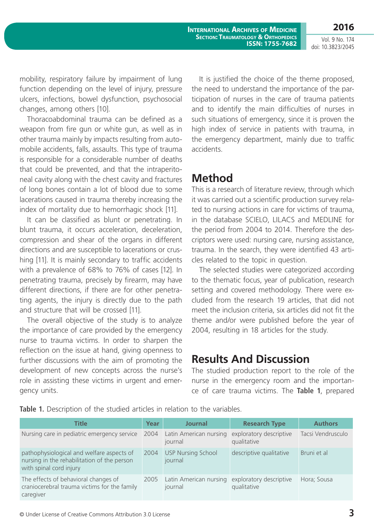**International Archives of Medicine SECTION: TRAUMATOLOGY & ORTHOPEDICS ISSN: 1755-7682**

Vol. 9 No. 174 doi: 10.3823/2045

**2016**

mobility, respiratory failure by impairment of lung function depending on the level of injury, pressure ulcers, infections, bowel dysfunction, psychosocial changes, among others [10].

Thoracoabdominal trauma can be defined as a weapon from fire gun or white gun, as well as in other trauma mainly by impacts resulting from automobile accidents, falls, assaults. This type of trauma is responsible for a considerable number of deaths that could be prevented, and that the intraperitoneal cavity along with the chest cavity and fractures of long bones contain a lot of blood due to some lacerations caused in trauma thereby increasing the index of mortality due to hemorrhagic shock [11].

It can be classified as blunt or penetrating. In blunt trauma, it occurs acceleration, deceleration, compression and shear of the organs in different directions and are susceptible to lacerations or crushing [11]. It is mainly secondary to traffic accidents with a prevalence of 68% to 76% of cases [12]. In penetrating trauma, precisely by firearm, may have different directions, if there are for other penetrating agents, the injury is directly due to the path and structure that will be crossed [11].

The overall objective of the study is to analyze the importance of care provided by the emergency nurse to trauma victims. In order to sharpen the reflection on the issue at hand, giving openness to further discussions with the aim of promoting the development of new concepts across the nurse's role in assisting these victims in urgent and emergency units.

It is justified the choice of the theme proposed, the need to understand the importance of the participation of nurses in the care of trauma patients and to identify the main difficulties of nurses in such situations of emergency, since it is proven the high index of service in patients with trauma, in the emergency department, mainly due to traffic accidents.

## **Method**

This is a research of literature review, through which it was carried out a scientific production survey related to nursing actions in care for victims of trauma, in the database SCIELO, LILACS and MEDLINE for the period from 2004 to 2014. Therefore the descriptors were used: nursing care, nursing assistance, trauma. In the search, they were identified 43 articles related to the topic in question.

The selected studies were categorized according to the thematic focus, year of publication, research setting and covered methodology. There were excluded from the research 19 articles, that did not meet the inclusion criteria, six articles did not fit the theme and/or were published before the year of 2004, resulting in 18 articles for the study.

## **Results And Discussion**

The studied production report to the role of the nurse in the emergency room and the importance of care trauma victims. The **Table 1**, prepared

|  |  | Table 1. Description of the studied articles in relation to the variables. |  |  |  |  |  |  |  |  |  |
|--|--|----------------------------------------------------------------------------|--|--|--|--|--|--|--|--|--|
|--|--|----------------------------------------------------------------------------|--|--|--|--|--|--|--|--|--|

| <b>Title</b>                                                                                                        | Year | Journal                              | <b>Research Type</b>                   | <b>Authors</b>    |
|---------------------------------------------------------------------------------------------------------------------|------|--------------------------------------|----------------------------------------|-------------------|
| Nursing care in pediatric emergency service                                                                         | 2004 | Latin American nursing<br>journal    | exploratory descriptive<br>qualitative | Tacsi Vendrusculo |
| pathophysiological and welfare aspects of<br>nursing in the rehabilitation of the person<br>with spinal cord injury | 2004 | <b>USP Nursing School</b><br>journal | descriptive qualitative                | Bruni et al       |
| The effects of behavioral changes of<br>craniocerebral trauma victims for the family<br>caregiver                   | 2005 | Latin American nursing<br>journal    | exploratory descriptive<br>qualitative | Hora; Sousa       |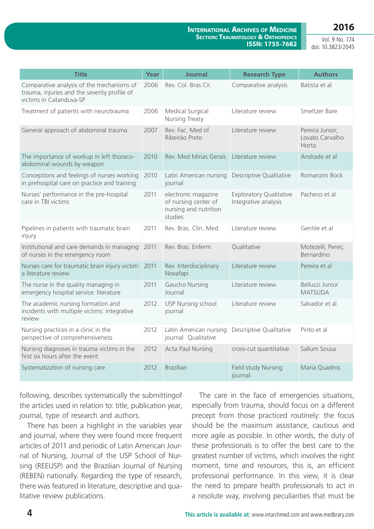### **2016**

#### **International Archives of Medicine SECTION: TRAUMATOLOGY & ORTHOPEDICS ISSN: 1755-7682**

Vol. 9 No. 174 doi: 10.3823/2045

| <b>Title</b>                                                                                                         | Year | <b>Journal</b>                                                                  | <b>Research Type</b>                                   | <b>Authors</b>                              |
|----------------------------------------------------------------------------------------------------------------------|------|---------------------------------------------------------------------------------|--------------------------------------------------------|---------------------------------------------|
| Comparative analysis of the mechanisms of<br>trauma, injuries and the severity profile of<br>victims in Catanduva-SP | 2006 | Rev. Col. Bras Cir.                                                             | Comparative analysis                                   | Batista et al                               |
| Treatment of patients with neurotrauma                                                                               | 2006 | Medical Surgical<br>Nursing Treaty                                              | Literature review                                      | Smeltzer Bare                               |
| General approach of abdominal trauma                                                                                 | 2007 | Rev. Fac. Med of<br>Ribeirão Preto                                              | Literature review                                      | Pereira Junior;<br>Lovato Carvalho<br>Horta |
| The importance of workup in left thoraco-<br>abdominal wounds by weapon                                              | 2010 | Rev. Med Minas Gerais                                                           | Literature review                                      | Andrade et al                               |
| Conceptions and feelings of nurses working<br>in prehospital care on practice and training                           | 2010 | Latin American nursing<br>journal                                               | Descriptive Qualitative                                | Romanzini Bock                              |
| Nurses' performance in the pre-hospital<br>care in TBI victims                                                       | 2011 | electronic magazine<br>of nursing center of<br>nursing and nutrition<br>studies | <b>Exploratory Qualitative</b><br>Integrative analysis | Pacheco et al                               |
| Pipelines in patients with traumatic brain<br>injury                                                                 | 2011 | Rev. Bras. Clín. Med.                                                           | Literature review                                      | Gentile et al                               |
| Institutional and care demands in managing<br>of nurses in the emergency room                                        | 2011 | Rev. Bras. Enferm                                                               | Qualitative                                            | Motezelli; Peres;<br>Bernardino             |
| Nurses care for traumatic brain injury victim: 2011<br>a literature review                                           |      | Rev. Interdisciplinary<br>Novafapi                                              | Literature review                                      | Pereira et al                               |
| The nurse in the quality managing in<br>emergency hospital service: literature                                       | 2011 | Gaucho Nursing<br>Journal                                                       | Literature review                                      | Bellucci Junior<br><b>MATSUDA</b>           |
| The academic nursing formation and<br>incidents with multiple victims: integrative<br>review                         | 2012 | <b>USP Nursing school</b><br>journal                                            | Literature review                                      | Salvador et al                              |
| Nursing practices in a clinic in the<br>perspective of comprehensiveness                                             | 2012 | Latin American nursing<br>journal Qualitative                                   | Descriptive Qualitative                                | Pinto et al                                 |
| Nursing diagnoses in trauma victims in the<br>first six hours after the event                                        | 2012 | <b>Acta Paul Nursing</b>                                                        | cross-cut quantitative                                 | Sallum Sousa                                |
| Systematization of nursing care                                                                                      | 2012 | <b>Brazilian</b>                                                                | <b>Field study Nursing</b><br>journal                  | Maria Quadros                               |

following, describes systematically the submittingof the articles used in relation to: title, publication year, journal, type of research and authors.

There has been a highlight in the variables year and journal, where they were found more frequent articles of 2011 and periodic of Latin American Journal of Nursing, Journal of the USP School of Nursing (REEUSP) and the Brazilian Journal of Nursing (REBEN) nationally. Regarding the type of research, there was featured in literature, descriptive and qualitative review publications.

The care in the face of emergencies situations, especially from trauma, should focus on a different precept from those practiced routinely: the focus should be the maximum assistance, cautious and more agile as possible. In other words, the duty of these professionals is to offer the best care to the greatest number of victims, which involves the right moment, time and resources, this is, an efficient professional performance. In this view, it is clear the need to prepare health professionals to act in a resolute way, involving peculiarities that must be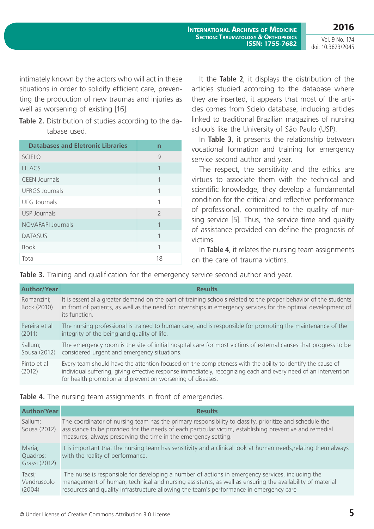**2016** Vol. 9 No. 174 doi: 10.3823/2045

intimately known by the actors who will act in these situations in order to solidify efficient care, preventing the production of new traumas and injuries as well as worsening of existing [16].

**Table 2.** Distribution of studies according to the database used.

| <b>Databases and Eletronic Libraries</b> | n                        |
|------------------------------------------|--------------------------|
| <b>SCIELO</b>                            | 9                        |
| <b>LILACS</b>                            | 1                        |
| <b>CEEN Journals</b>                     | 1                        |
| <b>UFRGS Journals</b>                    | 1                        |
| <b>UFG Journals</b>                      | 1                        |
| <b>USP Journals</b>                      | $\overline{\phantom{0}}$ |
| NOVAFAPI Journals                        | 1                        |
| <b>DATASUS</b>                           | 1                        |
| <b>Book</b>                              | 1                        |
| Total                                    | 18                       |

It the **Table 2**, it displays the distribution of the articles studied according to the database where they are inserted, it appears that most of the articles comes from Scielo database, including articles linked to traditional Brazilian magazines of nursing schools like the University of São Paulo (USP).

In **Table 3**, it presents the relationship between vocational formation and training for emergency service second author and year.

The respect, the sensitivity and the ethics are virtues to associate them with the technical and scientific knowledge, they develop a fundamental condition for the critical and reflective performance of professional, committed to the quality of nursing service [5]. Thus, the service time and quality of assistance provided can define the prognosis of victims.

In **Table 4**, it relates the nursing team assignments on the care of trauma victims.

**Table 3.** Training and qualification for the emergency service second author and year.

| <b>Author/Year</b>        | <b>Results</b>                                                                                                                                                                                                                                                                              |
|---------------------------|---------------------------------------------------------------------------------------------------------------------------------------------------------------------------------------------------------------------------------------------------------------------------------------------|
| Romanzini:<br>Bock (2010) | It is essential a greater demand on the part of training schools related to the proper behavior of the students<br>in front of patients, as well as the need for internships in emergency services for the optimal development of<br>its function.                                          |
| Pereira et al<br>(2011)   | The nursing professional is trained to human care, and is responsible for promoting the maintenance of the<br>integrity of the being and quality of life.                                                                                                                                   |
| Sallum;<br>Sousa (2012)   | The emergency room is the site of initial hospital care for most victims of external causes that progress to be<br>considered urgent and emergency situations.                                                                                                                              |
| Pinto et al<br>(2012)     | Every team should have the attention focused on the completeness with the ability to identify the cause of<br>individual suffering, giving effective response immediately, recognizing each and every need of an intervention<br>for health promotion and prevention worsening of diseases. |

### **Table 4.** The nursing team assignments in front of emergencies.

| Author/Year                         | <b>Results</b>                                                                                                                                                                                                                                                                                        |
|-------------------------------------|-------------------------------------------------------------------------------------------------------------------------------------------------------------------------------------------------------------------------------------------------------------------------------------------------------|
| Sallum;<br>Sousa (2012)             | The coordinator of nursing team has the primary responsibility to classify, prioritize and schedule the<br>assistance to be provided for the needs of each particular victim, establishing preventive and remedial<br>measures, always preserving the time in the emergency setting.                  |
| Maria;<br>Quadros;<br>Grassi (2012) | It is important that the nursing team has sensitivity and a clinical look at human needs, relating them always<br>with the reality of performance.                                                                                                                                                    |
| Tacsi;<br>Vendruscolo<br>(2004)     | The nurse is responsible for developing a number of actions in emergency services, including the<br>management of human, technical and nursing assistants, as well as ensuring the availability of material<br>resources and quality infrastructure allowing the team's performance in emergency care |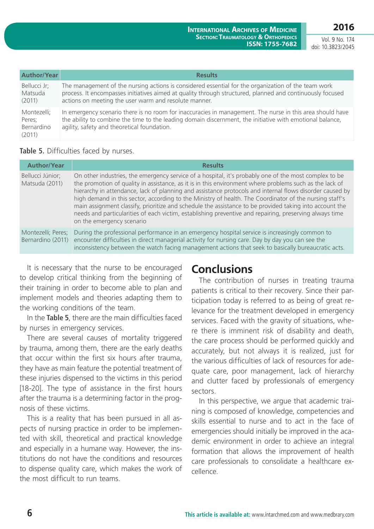**2016** Vol. 9 No. 174

doi: 10.3823/2045

| Author/Year                                   | <b>Results</b>                                                                                                                                                                                                                                                            |
|-----------------------------------------------|---------------------------------------------------------------------------------------------------------------------------------------------------------------------------------------------------------------------------------------------------------------------------|
| Bellucci Jr;<br>Matsuda<br>(2011)             | The management of the nursing actions is considered essential for the organization of the team work<br>process. It encompasses initiatives aimed at quality through structured, planned and continuously focused<br>actions on meeting the user warm and resolute manner. |
| Montezelli;<br>Peres;<br>Bernardino<br>(2011) | In emergency scenario there is no room for inaccuracies in management. The nurse in this area should have<br>the ability to combine the time to the leading domain discernment, the initiative with emotional balance,<br>agility, safety and theoretical foundation.     |

### **Table 5.** Difficulties faced by nurses.

| <b>Author/Year</b>                      | <b>Results</b>                                                                                                                                                                                                                                                                                                                                                                                                                                                                                                                                                                                                                                                                             |
|-----------------------------------------|--------------------------------------------------------------------------------------------------------------------------------------------------------------------------------------------------------------------------------------------------------------------------------------------------------------------------------------------------------------------------------------------------------------------------------------------------------------------------------------------------------------------------------------------------------------------------------------------------------------------------------------------------------------------------------------------|
| Bellucci Júnior;<br>Matsuda (2011)      | On other industries, the emergency service of a hospital, it's probably one of the most complex to be<br>the promotion of quality in assistance, as it is in this environment where problems such as the lack of<br>hierarchy in attendance, lack of planning and assistance protocols and internal flows disorder caused by<br>high demand in this sector, according to the Ministry of health. The Coordinator of the nursing staff's<br>main assignment classify, prioritize and schedule the assistance to be provided taking into account the<br>needs and particularities of each victim, establishing preventive and repairing, preserving always time<br>on the emergency scenario |
| Montezelli; Peres;<br>Bernardino (2011) | During the professional performance in an emergency hospital service is increasingly common to<br>encounter difficulties in direct managerial activity for nursing care. Day by day you can see the<br>inconsistency between the watch facing management actions that seek to basically bureaucratic acts.                                                                                                                                                                                                                                                                                                                                                                                 |

It is necessary that the nurse to be encouraged to develop critical thinking from the beginning of their training in order to become able to plan and implement models and theories adapting them to the working conditions of the team.

In the **Table 5**, there are the main difficulties faced by nurses in emergency services.

There are several causes of mortality triggered by trauma, among them, there are the early deaths that occur within the first six hours after trauma, they have as main feature the potential treatment of these injuries dispensed to the victims in this period [18-20]. The type of assistance in the first hours after the trauma is a determining factor in the prognosis of these victims.

This is a reality that has been pursued in all aspects of nursing practice in order to be implemented with skill, theoretical and practical knowledge and especially in a humane way. However, the institutions do not have the conditions and resources to dispense quality care, which makes the work of the most difficult to run teams.

## **Conclusions**

The contribution of nurses in treating trauma patients is critical to their recovery. Since their participation today is referred to as being of great relevance for the treatment developed in emergency services. Faced with the gravity of situations, where there is imminent risk of disability and death, the care process should be performed quickly and accurately, but not always it is realized, just for the various difficulties of lack of resources for adequate care, poor management, lack of hierarchy and clutter faced by professionals of emergency sectors.

In this perspective, we argue that academic training is composed of knowledge, competencies and skills essential to nurse and to act in the face of emergencies should initially be improved in the academic environment in order to achieve an integral formation that allows the improvement of health care professionals to consolidate a healthcare excellence.